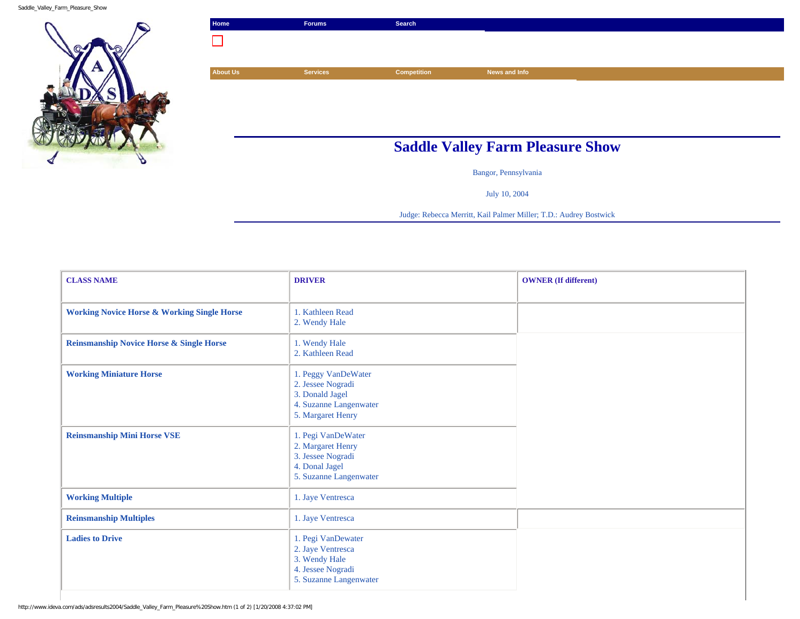Saddle\_Valley\_Farm\_Pleasure\_Show



| Home            | <b>Forums</b>   | Search             |                                         |  |
|-----------------|-----------------|--------------------|-----------------------------------------|--|
|                 |                 |                    |                                         |  |
|                 |                 |                    |                                         |  |
| <b>About Us</b> | <b>Services</b> | <b>Competition</b> | News and Info                           |  |
|                 |                 |                    |                                         |  |
|                 |                 |                    |                                         |  |
|                 |                 |                    |                                         |  |
|                 |                 |                    |                                         |  |
|                 |                 |                    | <b>Saddle Valley Farm Pleasure Show</b> |  |
|                 |                 |                    | Bangor, Pennsylvania                    |  |

July 10, 2004

Judge: Rebecca Merritt, Kail Palmer Miller; T.D.: Audrey Bostwick

| <b>CLASS NAME</b>                                      | <b>DRIVER</b>                                                                                              | <b>OWNER</b> (If different) |
|--------------------------------------------------------|------------------------------------------------------------------------------------------------------------|-----------------------------|
| <b>Working Novice Horse &amp; Working Single Horse</b> | 1. Kathleen Read<br>2. Wendy Hale                                                                          |                             |
| <b>Reinsmanship Novice Horse &amp; Single Horse</b>    | 1. Wendy Hale<br>2. Kathleen Read                                                                          |                             |
| <b>Working Miniature Horse</b>                         | 1. Peggy VanDeWater<br>2. Jessee Nogradi<br>3. Donald Jagel<br>4. Suzanne Langenwater<br>5. Margaret Henry |                             |
| <b>Reinsmanship Mini Horse VSE</b>                     | 1. Pegi VanDeWater<br>2. Margaret Henry<br>3. Jessee Nogradi<br>4. Donal Jagel<br>5. Suzanne Langenwater   |                             |
| <b>Working Multiple</b>                                | 1. Jaye Ventresca                                                                                          |                             |
| <b>Reinsmanship Multiples</b>                          | 1. Jaye Ventresca                                                                                          |                             |
| <b>Ladies to Drive</b>                                 | 1. Pegi VanDewater<br>2. Jaye Ventresca<br>3. Wendy Hale<br>4. Jessee Nogradi<br>5. Suzanne Langenwater    |                             |